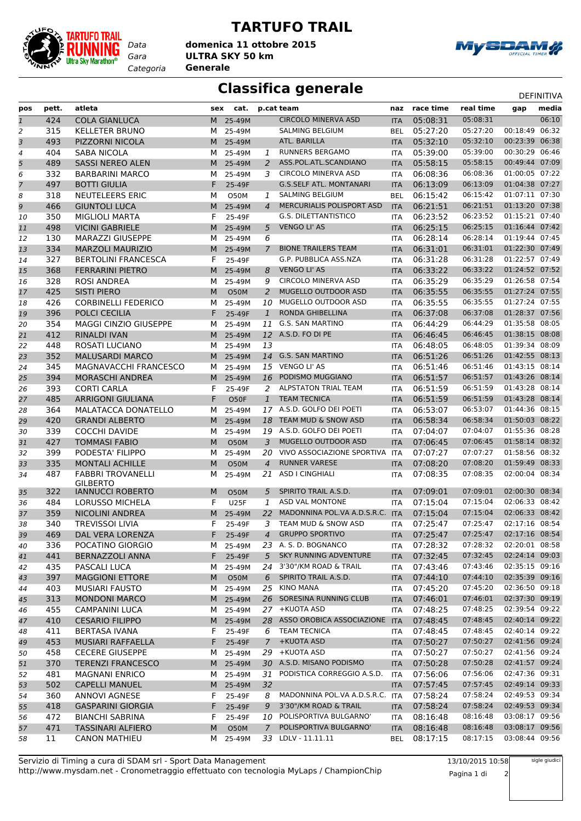

## **TARTUFO TRAIL**

*Gara* **ULTRA SKY 50 km domenica 11 ottobre 2015**

*Categoria* **Generale**



## **Classifica generale** Department of the DEFINITIVA

| pos | pett. | atleta                       | sex | cat.        |                | p.cat team                       | naz        | race time | real time | gap            | media |
|-----|-------|------------------------------|-----|-------------|----------------|----------------------------------|------------|-----------|-----------|----------------|-------|
| 1   | 424   | <b>COLA GIANLUCA</b>         | M   | 25-49M      |                | <b>CIRCOLO MINERVA ASD</b>       | <b>ITA</b> | 05:08:31  | 05:08:31  |                | 06:10 |
| 2   | 315   | <b>KELLETER BRUNO</b>        | м   | 25-49M      |                | SALMING BELGIUM                  | <b>BEL</b> | 05:27:20  | 05:27:20  | 00:18:49       | 06:32 |
| 3   | 493   | PIZZORNI NICOLA              | M   | 25-49M      |                | ATL. BARILLA                     | <b>ITA</b> | 05:32:10  | 05:32:10  | 00:23:39       | 06:38 |
| 4   | 404   | SABA NICOLA                  | м   | 25-49M      | 1              | <b>RUNNERS BERGAMO</b>           | <b>ITA</b> | 05:39:00  | 05:39:00  | 00:30:29 06:46 |       |
|     | 489   | <b>SASSI NEREO ALEN</b>      | M   | 25-49M      | 2              | ASS.POL.ATL.SCANDIANO            | <b>ITA</b> | 05:58:15  | 05:58:15  | 00:49:44 07:09 |       |
| 5   | 332   | <b>BARBARINI MARCO</b>       |     |             | 3              | <b>CIRCOLO MINERVA ASD</b>       |            | 06:08:36  | 06:08:36  | 01:00:05 07:22 |       |
| 6   | 497   | <b>BOTTI GIULIA</b>          | м   | 25-49M      |                | <b>G.S.SELF ATL. MONTANARI</b>   | ITA        | 06:13:09  | 06:13:09  | 01:04:38 07:27 |       |
| 7   |       |                              | F   | 25-49F      |                | <b>SALMING BELGIUM</b>           | <b>ITA</b> |           |           | 01:07:11 07:30 |       |
| 8   | 318   | <b>NEUTELEERS ERIC</b>       | М   | <b>O50M</b> | 1              |                                  | <b>BEL</b> | 06:15:42  | 06:15:42  |                |       |
| 9   | 466   | <b>GIUNTOLI LUCA</b>         | M   | 25-49M      | $\overline{4}$ | MERCURIALIS POLISPORT ASD        | <b>ITA</b> | 06:21:51  | 06:21:51  | 01:13:20 07:38 |       |
| 10  | 350   | <b>MIGLIOLI MARTA</b>        | F   | 25-49F      |                | <b>G.S. DILETTANTISTICO</b>      | <b>ITA</b> | 06:23:52  | 06:23:52  | 01:15:21 07:40 |       |
| 11  | 498   | <b>VICINI GABRIELE</b>       | M   | 25-49M      | 5              | <b>VENGO LI' AS</b>              | <b>ITA</b> | 06:25:15  | 06:25:15  | 01:16:44 07:42 |       |
| 12  | 130   | <b>MARAZZI GIUSEPPE</b>      | М   | 25-49M      | 6              |                                  | ITA        | 06:28:14  | 06:28:14  | 01:19:44 07:45 |       |
| 13  | 334   | <b>MARZOLI MAURIZIO</b>      | М   | 25-49M      | 7              | <b>BIONE TRAILERS TEAM</b>       | <b>ITA</b> | 06:31:01  | 06:31:01  | 01:22:30 07:49 |       |
| 14  | 327   | <b>BERTOLINI FRANCESCA</b>   | F   | 25-49F      |                | G.P. PUBBLICA ASS.NZA            | <b>ITA</b> | 06:31:28  | 06:31:28  | 01:22:57 07:49 |       |
| 15  | 368   | <b>FERRARINI PIETRO</b>      | M   | 25-49M      | 8              | <b>VENGO LI' AS</b>              | <b>ITA</b> | 06:33:22  | 06:33:22  | 01:24:52 07:52 |       |
| 16  | 328   | ROSI ANDREA                  | м   | 25-49M      | 9              | <b>CIRCOLO MINERVA ASD</b>       | <b>ITA</b> | 06:35:29  | 06:35:29  | 01:26:58 07:54 |       |
| 17  | 425   | <b>SISTI PIERO</b>           | M   | <b>O50M</b> | $\overline{2}$ | MUGELLO OUTDOOR ASD              | <b>ITA</b> | 06:35:55  | 06:35:55  | 01:27:24 07:55 |       |
| 18  | 426   | <b>CORBINELLI FEDERICO</b>   | М   | 25-49M      | 10             | MUGELLO OUTDOOR ASD              | ITA        | 06:35:55  | 06:35:55  | 01:27:24 07:55 |       |
| 19  | 396   | POLCI CECILIA                | F   | 25-49F      | $\mathbf{1}$   | RONDA GHIBELLINA                 | <b>ITA</b> | 06:37:08  | 06:37:08  | 01:28:37 07:56 |       |
| 20  | 354   | <b>MAGGI CINZIO GIUSEPPE</b> | м   | 25-49M      | 11             | G.S. SAN MARTINO                 | <b>ITA</b> | 06:44:29  | 06:44:29  | 01:35:58 08:05 |       |
| 21  | 412   | <b>RINALDI IVAN</b>          | M   | 25-49M      |                | 12 A.S.D. FO DI PE               | <b>ITA</b> | 06:46:45  | 06:46:45  | 01:38:15 08:08 |       |
| 22  | 448   | <b>ROSATI LUCIANO</b>        | м   | 25-49M      | 13             |                                  | <b>ITA</b> | 06:48:05  | 06:48:05  | 01:39:34 08:09 |       |
| 23  | 352   | <b>MALUSARDI MARCO</b>       | M   | 25-49M      |                | 14 G.S. SAN MARTINO              | <b>ITA</b> | 06:51:26  | 06:51:26  | 01:42:55 08:13 |       |
| 24  | 345   | MAGNAVACCHI FRANCESCO        | м   | 25-49M      |                | 15 VENGO LI' AS                  | ITA        | 06:51:46  | 06:51:46  | 01:43:15 08:14 |       |
| 25  | 394   | <b>MORASCHI ANDREA</b>       | M   | 25-49M      | 16             | PODISMO MUGGIANO                 | <b>ITA</b> | 06:51:57  | 06:51:57  | 01:43:26 08:14 |       |
| 26  | 393   | <b>CORTI CARLA</b>           | F   | 25-49F      | 2              | <b>ALPSTATON TRIAL TEAM</b>      | <b>ITA</b> | 06:51:59  | 06:51:59  | 01:43:28 08:14 |       |
| 27  | 485   | <b>ARRIGONI GIULIANA</b>     | F   | O50F        | $\mathbf{1}$   | <b>TEAM TECNICA</b>              | <b>ITA</b> | 06:51:59  | 06:51:59  | 01:43:28 08:14 |       |
| 28  | 364   | MALATACCA DONATELLO          | м   | 25-49M      |                | 17 A.S.D. GOLFO DEI POETI        | <b>ITA</b> | 06:53:07  | 06:53:07  | 01:44:36 08:15 |       |
| 29  | 420   | <b>GRANDI ALBERTO</b>        | M   | 25-49M      | 18             | TEAM MUD & SNOW ASD              | <b>ITA</b> | 06:58:34  | 06:58:34  | 01:50:03 08:22 |       |
| 30  | 339   | <b>COCCHI DAVIDE</b>         | М   | 25-49M      | 19             | A.S.D. GOLFO DEI POETI           | ITA        | 07:04:07  | 07:04:07  | 01:55:36 08:28 |       |
| 31  | 427   | <b>TOMMASI FABIO</b>         | M   | <b>O50M</b> | 3              | MUGELLO OUTDOOR ASD              | <b>ITA</b> | 07:06:45  | 07:06:45  | 01:58:14 08:32 |       |
| 32  | 399   | PODESTA' FILIPPO             | М   | 25-49M      | 20             | VIVO ASSOCIAZIONE SPORTIVA       | <b>ITA</b> | 07:07:27  | 07:07:27  | 01:58:56 08:32 |       |
| 33  | 335   | MONTALI ACHILLE              | M   | <b>O50M</b> | 4              | <b>RUNNER VARESE</b>             | <b>ITA</b> | 07:08:20  | 07:08:20  | 01:59:49 08:33 |       |
| 34  | 487   | <b>FABBRI TROVANELLI</b>     | м   | 25-49M      | 21             | <b>ASD I CINGHIALI</b>           | <b>ITA</b> | 07:08:35  | 07:08:35  | 02:00:04 08:34 |       |
|     |       | <b>GILBERTO</b>              |     |             |                |                                  |            |           |           |                |       |
| 35  | 322   | <b>IANNUCCI ROBERTO</b>      | M   | <b>O50M</b> | 5              | SPIRITO TRAIL A.S.D.             | <b>ITA</b> | 07:09:01  | 07:09:01  | 02:00:30       | 08:34 |
| 36  | 484   | <b>LORUSSO MICHELA</b>       | F   | <b>U25F</b> | 1              | ASD VAL MONTONE                  | <b>ITA</b> | 07:15:04  | 07:15:04  | 02:06:33 08:42 |       |
| 37  | 359   | <b>NICOLINI ANDREA</b>       | M   | 25-49M      | 22             | MADONNINA POL.VA A.D.S.R.C. ITA  |            | 07:15:04  | 07:15:04  | 02:06:33 08:42 |       |
| 38  | 340   | <b>TREVISSOI LIVIA</b>       | F   | 25-49F      | 3              | TEAM MUD & SNOW ASD              | <b>ITA</b> | 07:25:47  | 07:25:47  | 02:17:16 08:54 |       |
| 39  | 469   | DAL VERA LORENZA             | F,  | 25-49F      | $\overline{4}$ | <b>GRUPPO SPORTIVO</b>           | $\sf ITA$  | 07:25:47  | 07:25:47  | 02:17:16 08:54 |       |
| 40  | 336   | POCATINO GIORGIO             |     | M 25-49M    |                | 23 A. S. D. BOGNANCO             | ITA        | 07:28:32  | 07:28:32  | 02:20:01 08:58 |       |
| 41  | 441   | <b>BERNAZZOLI ANNA</b>       | F.  | 25-49F      | 5              | <b>SKY RUNNING ADVENTURE</b>     | <b>ITA</b> | 07:32:45  | 07:32:45  | 02:24:14 09:03 |       |
| 42  | 435   | PASCALI LUCA                 | M   | 25-49M      |                | 24 3'30"/KM ROAD & TRAIL         | ITA        | 07:43:46  | 07:43:46  | 02:35:15 09:16 |       |
| 43  | 397   | <b>MAGGIONI ETTORE</b>       | M   | <b>O50M</b> | 6              | SPIRITO TRAIL A.S.D.             | <b>ITA</b> | 07:44:10  | 07:44:10  | 02:35:39 09:16 |       |
| 44  | 403   | <b>MUSIARI FAUSTO</b>        | м   | 25-49M      |                | 25 KINO MANA                     | ITA        | 07:45:20  | 07:45:20  | 02:36:50 09:18 |       |
| 45  | 313   | <b>MONDONI MARCO</b>         | M   | 25-49M      |                | 26 SORESINA RUNNING CLUB         | <b>ITA</b> | 07:46:01  | 07:46:01  | 02:37:30 09:19 |       |
| 46  | 455   | CAMPANINI LUCA               | M   | 25-49M      |                | 27 +KUOTA ASD                    | ITA        | 07:48:25  | 07:48:25  | 02:39:54 09:22 |       |
| 47  | 410   | <b>CESARIO FILIPPO</b>       | M   | 25-49M      |                | 28 ASSO OROBICA ASSOCIAZIONE ITA |            | 07:48:45  | 07:48:45  | 02:40:14 09:22 |       |
| 48  | 411   | <b>BERTASA IVANA</b>         | F.  | 25-49F      | 6              | <b>TEAM TECNICA</b>              | ITA        | 07:48:45  | 07:48:45  | 02:40:14 09:22 |       |
| 49  | 453   | MUSIARI RAFFAELLA            | F.  | 25-49F      | $\overline{7}$ | +KUOTA ASD                       | <b>ITA</b> | 07:50:27  | 07:50:27  | 02:41:56 09:24 |       |
| 50  | 458   | <b>CECERE GIUSEPPE</b>       | м   | 25-49M      | 29             | +KUOTA ASD                       | ITA        | 07:50:27  | 07:50:27  | 02:41:56 09:24 |       |
| 51  | 370   | <b>TERENZI FRANCESCO</b>     | M   | 25-49M      |                | 30 A.S.D. MISANO PODISMO         | <b>ITA</b> | 07:50:28  | 07:50:28  | 02:41:57 09:24 |       |
| 52  | 481   | <b>MAGNANI ENRICO</b>        | M   | 25-49M      |                | 31 PODISTICA CORREGGIO A.S.D.    | ITA        | 07:56:06  | 07:56:06  | 02:47:36 09:31 |       |
| 53  | 502   | <b>CAPELLI MANUEL</b>        | M   | 25-49M      | 32             |                                  | <b>ITA</b> | 07:57:45  | 07:57:45  | 02:49:14 09:33 |       |
| 54  | 360   | <b>ANNOVI AGNESE</b>         | F.  | 25-49F      | 8              | MADONNINA POL.VA A.D.S.R.C. ITA  |            | 07:58:24  | 07:58:24  | 02:49:53 09:34 |       |
|     | 418   | <b>GASPARINI GIORGIA</b>     | F.  | 25-49F      | 9              | 3'30"/KM ROAD & TRAIL            | <b>ITA</b> | 07:58:24  | 07:58:24  | 02:49:53 09:34 |       |
| 55  |       |                              |     |             |                | POLISPORTIVA BULGARNO'           |            |           | 08:16:48  | 03:08:17 09:56 |       |
| 56  | 472   | <b>BIANCHI SABRINA</b>       | F.  | 25-49F      | 10             | POLISPORTIVA BULGARNO'           | ITA        | 08:16:48  | 08:16:48  | 03:08:17 09:56 |       |
| 57  | 471   | <b>TASSINARI ALFIERO</b>     | M   | O50M        | 7              |                                  | <b>ITA</b> | 08:16:48  |           |                |       |
| 58  | 11    | <b>CANON MATHIEU</b>         | M   | 25-49M      |                | 33 LDLV-11.11.11                 | <b>BEL</b> | 08:17:15  | 08:17:15  | 03:08:44 09:56 |       |

http://www.mysdam.net - Cronometraggio effettuato con tecnologia MyLaps / ChampionChip Servizio di Timing a cura di SDAM srl - Sport Data Management

13/10/2015 10:58

Pagina 1 di 2

sigle giudici